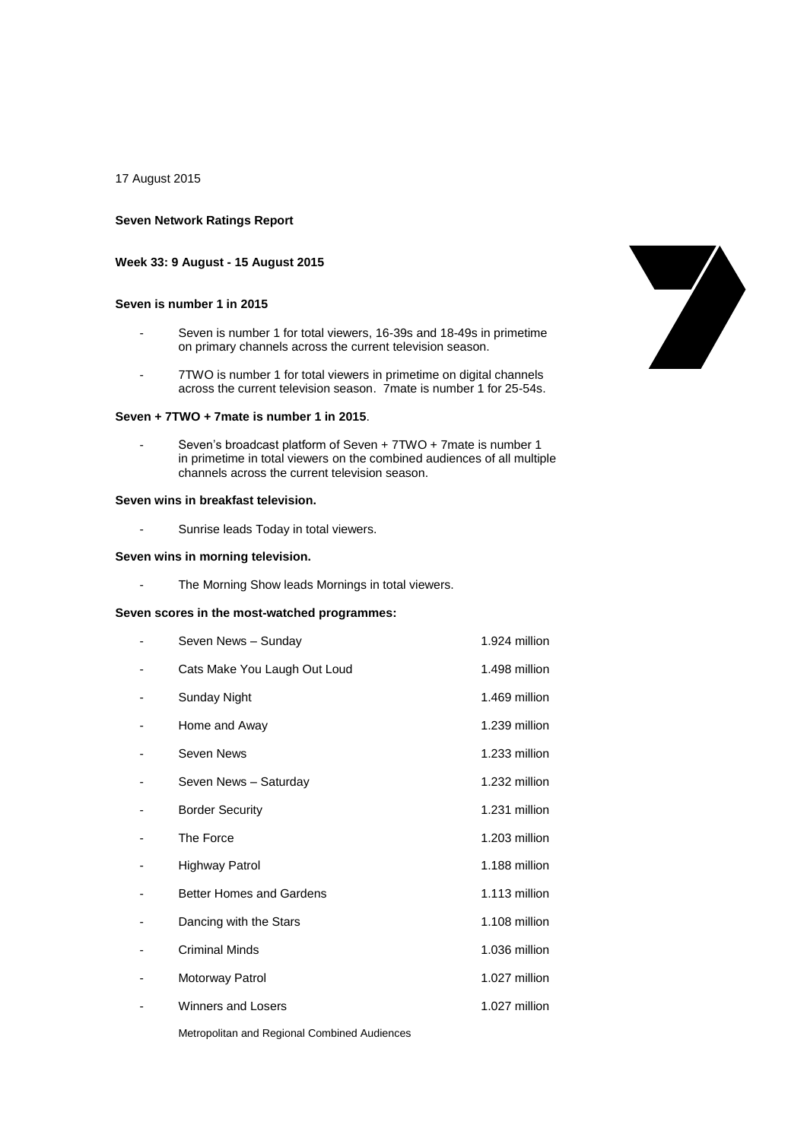17 August 2015

## **Seven Network Ratings Report**

### **Week 33: 9 August - 15 August 2015**

### **Seven is number 1 in 2015**

- Seven is number 1 for total viewers, 16-39s and 18-49s in primetime on primary channels across the current television season.
- 7TWO is number 1 for total viewers in primetime on digital channels across the current television season. 7mate is number 1 for 25-54s.

### **Seven + 7TWO + 7mate is number 1 in 2015**.

Seven's broadcast platform of Seven + 7TWO + 7mate is number 1 in primetime in total viewers on the combined audiences of all multiple channels across the current television season.

# **Seven wins in breakfast television.**

- Sunrise leads Today in total viewers.

### **Seven wins in morning television.**

- The Morning Show leads Mornings in total viewers.

# **Seven scores in the most-watched programmes:**

| Seven News - Sunday                          | 1.924 million |
|----------------------------------------------|---------------|
| Cats Make You Laugh Out Loud                 | 1.498 million |
| Sunday Night                                 | 1.469 million |
| Home and Away                                | 1.239 million |
| Seven News                                   | 1.233 million |
| Seven News - Saturday                        | 1.232 million |
| <b>Border Security</b>                       | 1.231 million |
| The Force                                    | 1.203 million |
| Highway Patrol                               | 1.188 million |
| <b>Better Homes and Gardens</b>              | 1.113 million |
| Dancing with the Stars                       | 1.108 million |
| <b>Criminal Minds</b>                        | 1.036 million |
| Motorway Patrol                              | 1.027 million |
| Winners and Losers                           | 1.027 million |
| Metropolitan and Regional Combined Audiences |               |

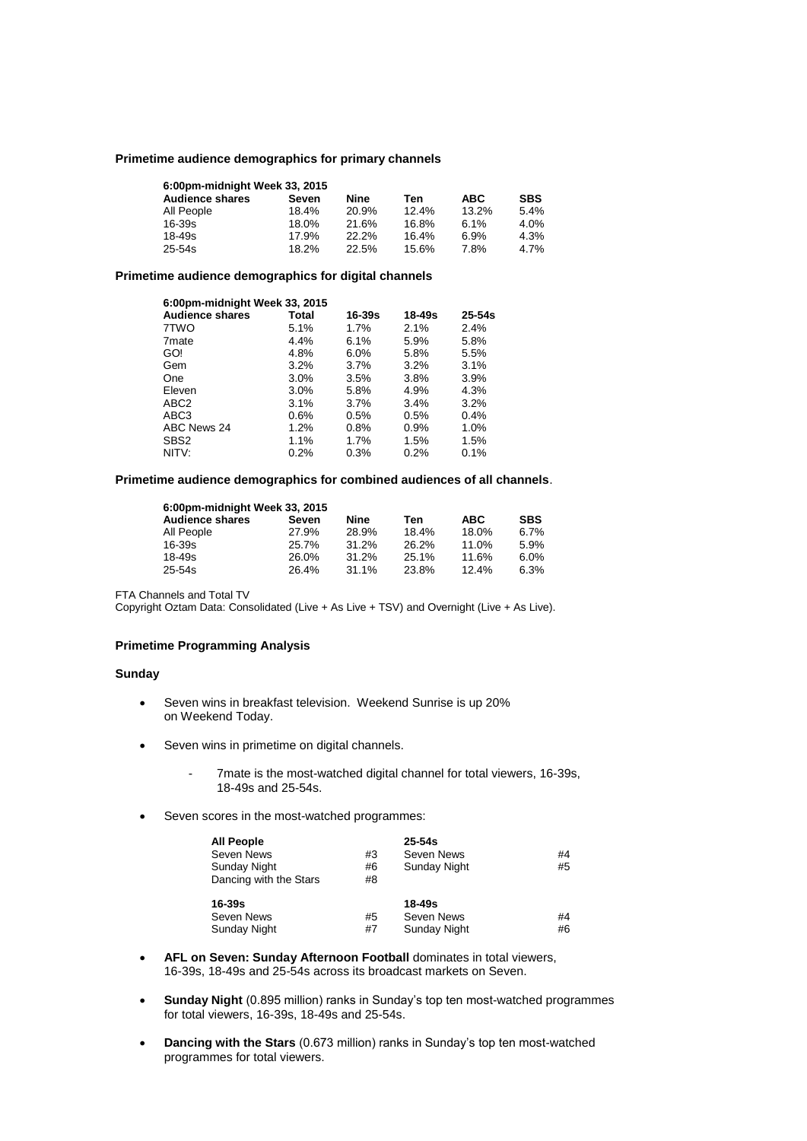### **Primetime audience demographics for primary channels**

| 6:00pm-midnight Week 33, 2015 |       |       |       |       |            |  |
|-------------------------------|-------|-------|-------|-------|------------|--|
| <b>Audience shares</b>        | Seven | Nine  | Ten   | ABC.  | <b>SBS</b> |  |
| All People                    | 18.4% | 20.9% | 12.4% | 13.2% | 5.4%       |  |
| $16 - 39s$                    | 18.0% | 21.6% | 16.8% | 6.1%  | 4.0%       |  |
| $18 - 49s$                    | 17.9% | 22.2% | 16.4% | 6.9%  | 4.3%       |  |
| $25 - 54s$                    | 18.2% | 22.5% | 15.6% | 7.8%  | 4.7%       |  |

### **Primetime audience demographics for digital channels**

| 6:00pm-midnight Week 33, 2015 |         |         |        |            |  |
|-------------------------------|---------|---------|--------|------------|--|
| <b>Audience shares</b>        | Total   | 16-39s  | 18-49s | $25 - 54s$ |  |
| 7TWO                          | 5.1%    | 1.7%    | 2.1%   | 2.4%       |  |
| 7 <sub>mate</sub>             | 4.4%    | 6.1%    | 5.9%   | 5.8%       |  |
| GO!                           | 4.8%    | 6.0%    | 5.8%   | 5.5%       |  |
| Gem                           | 3.2%    | $3.7\%$ | 3.2%   | 3.1%       |  |
| One                           | $3.0\%$ | 3.5%    | 3.8%   | 3.9%       |  |
| Eleven                        | 3.0%    | 5.8%    | 4.9%   | 4.3%       |  |
| ABC <sub>2</sub>              | 3.1%    | $3.7\%$ | 3.4%   | 3.2%       |  |
| ABC3                          | $0.6\%$ | 0.5%    | 0.5%   | 0.4%       |  |
| ABC News 24                   | 1.2%    | 0.8%    | 0.9%   | 1.0%       |  |
| SBS <sub>2</sub>              | 1.1%    | 1.7%    | 1.5%   | 1.5%       |  |
| NITV:                         | 0.2%    | 0.3%    | 0.2%   | 0.1%       |  |

# **Primetime audience demographics for combined audiences of all channels**.

| 6:00pm-midnight Week 33, 2015 |       |       |       |       |            |  |
|-------------------------------|-------|-------|-------|-------|------------|--|
| <b>Audience shares</b>        | Seven | Nine  | Ten   | ABC   | <b>SBS</b> |  |
| All People                    | 27.9% | 28.9% | 18.4% | 18.0% | 6.7%       |  |
| 16-39s                        | 25.7% | 31.2% | 26.2% | 11.0% | 5.9%       |  |
| 18-49s                        | 26.0% | 31.2% | 25.1% | 11.6% | 6.0%       |  |
| 25-54s                        | 26.4% | 31.1% | 23.8% | 12.4% | 6.3%       |  |

FTA Channels and Total TV

Copyright Oztam Data: Consolidated (Live + As Live + TSV) and Overnight (Live + As Live).

# **Primetime Programming Analysis**

## **Sunday**

- Seven wins in breakfast television. Weekend Sunrise is up 20% on Weekend Today.
- Seven wins in primetime on digital channels.
	- 7mate is the most-watched digital channel for total viewers, 16-39s, 18-49s and 25-54s.
- Seven scores in the most-watched programmes:

| <b>All People</b>      |    | $25 - 54s$          |    |
|------------------------|----|---------------------|----|
| Seven News             | #3 | Seven News          | #4 |
| Sunday Night           | #6 | Sunday Night        | #5 |
| Dancing with the Stars | #8 |                     |    |
| 16-39s                 |    | $18 - 49s$          |    |
| Seven News             | #5 | Seven News          | #4 |
| <b>Sunday Night</b>    | #7 | <b>Sunday Night</b> | #6 |

- **AFL on Seven: Sunday Afternoon Football** dominates in total viewers, 16-39s, 18-49s and 25-54s across its broadcast markets on Seven.
- **Sunday Night** (0.895 million) ranks in Sunday's top ten most-watched programmes for total viewers, 16-39s, 18-49s and 25-54s.
- **Dancing with the Stars** (0.673 million) ranks in Sunday's top ten most-watched programmes for total viewers.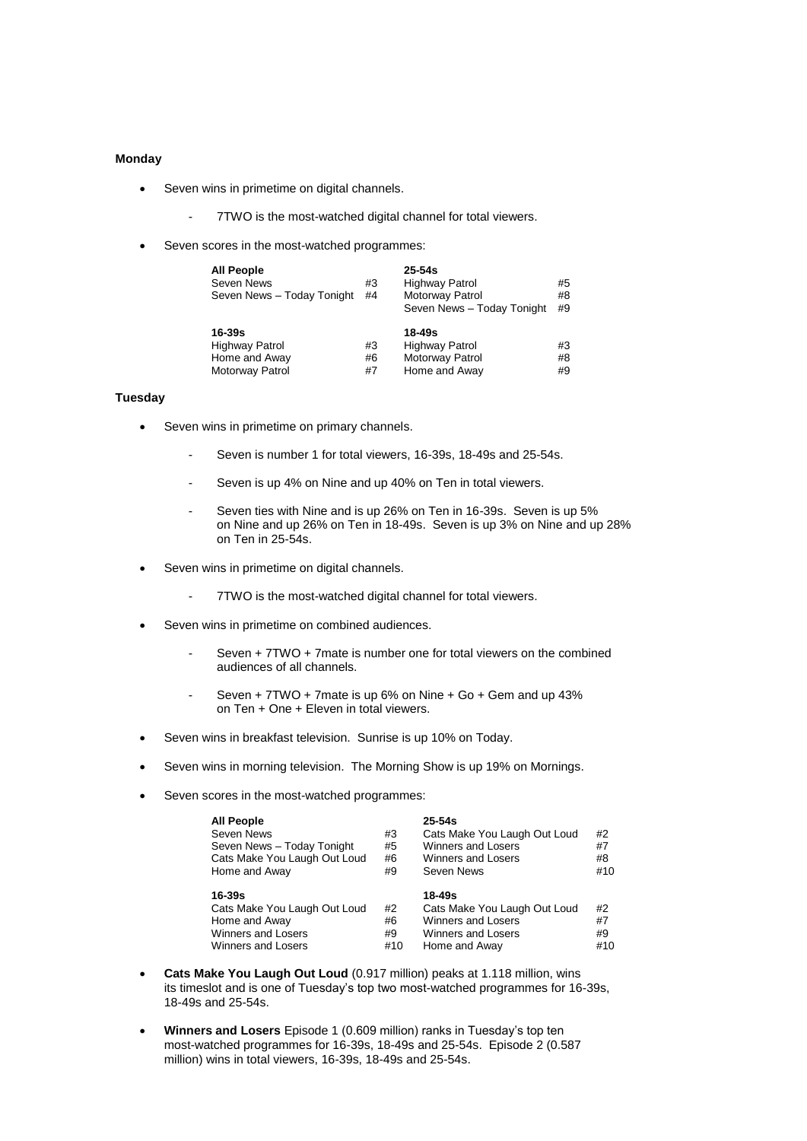## **Monday**

- Seven wins in primetime on digital channels.
	- 7TWO is the most-watched digital channel for total viewers.
- Seven scores in the most-watched programmes:

| <b>All People</b><br><b>Seven News</b><br>Seven News - Today Tonight         | #3<br>#4       | $25 - 54s$<br><b>Highway Patrol</b><br>Motorway Patrol<br>Seven News - Today Tonight | #5<br>#8<br>#9 |
|------------------------------------------------------------------------------|----------------|--------------------------------------------------------------------------------------|----------------|
| $16-39s$<br><b>Highway Patrol</b><br>Home and Away<br><b>Motorway Patrol</b> | #3<br>#6<br>#7 | 18-49s<br><b>Highway Patrol</b><br>Motorway Patrol<br>Home and Away                  | #3<br>#8<br>#9 |

### **Tuesday**

- Seven wins in primetime on primary channels.
	- Seven is number 1 for total viewers, 16-39s, 18-49s and 25-54s.
	- Seven is up 4% on Nine and up 40% on Ten in total viewers.
	- Seven ties with Nine and is up 26% on Ten in 16-39s. Seven is up 5% on Nine and up 26% on Ten in 18-49s. Seven is up 3% on Nine and up 28% on Ten in 25-54s.
- Seven wins in primetime on digital channels.
	- 7TWO is the most-watched digital channel for total viewers.
- Seven wins in primetime on combined audiences.
	- Seven + 7TWO + 7mate is number one for total viewers on the combined audiences of all channels.
	- Seven + 7TWO + 7mate is up 6% on Nine + Go + Gem and up 43% on Ten + One + Eleven in total viewers.
- Seven wins in breakfast television. Sunrise is up 10% on Today.
- Seven wins in morning television. The Morning Show is up 19% on Mornings.
- Seven scores in the most-watched programmes:

| <b>All People</b>            |     | $25 - 54s$                   |     |
|------------------------------|-----|------------------------------|-----|
| Seven News                   | #3  | Cats Make You Laugh Out Loud | #2  |
| Seven News - Today Tonight   | #5  | <b>Winners and Losers</b>    | #7  |
| Cats Make You Laugh Out Loud | #6  | <b>Winners and Losers</b>    | #8  |
| Home and Away                | #9  | Seven News                   | #10 |
| 16-39s                       |     | $18 - 49s$                   |     |
| Cats Make You Laugh Out Loud | #2  | Cats Make You Laugh Out Loud | #2  |
| Home and Away                | #6  | <b>Winners and Losers</b>    | #7  |
| <b>Winners and Losers</b>    | #9  | <b>Winners and Losers</b>    | #9  |
| <b>Winners and Losers</b>    | #10 | Home and Away                | #10 |

- **Cats Make You Laugh Out Loud** (0.917 million) peaks at 1.118 million, wins its timeslot and is one of Tuesday's top two most-watched programmes for 16-39s, 18-49s and 25-54s.
- **Winners and Losers** Episode 1 (0.609 million) ranks in Tuesday's top ten most-watched programmes for 16-39s, 18-49s and 25-54s. Episode 2 (0.587 million) wins in total viewers, 16-39s, 18-49s and 25-54s.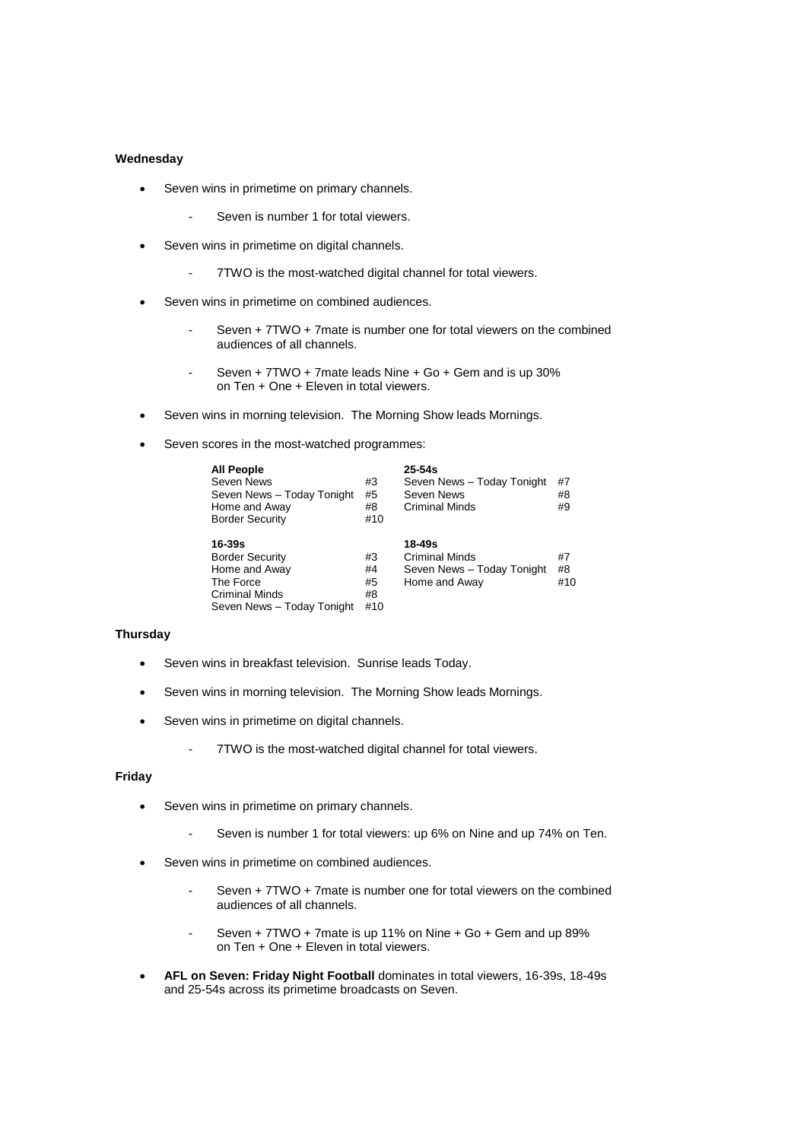## **Wednesday**

- Seven wins in primetime on primary channels.
	- Seven is number 1 for total viewers.
- Seven wins in primetime on digital channels.
	- 7TWO is the most-watched digital channel for total viewers.
- Seven wins in primetime on combined audiences.
	- Seven + 7TWO + 7mate is number one for total viewers on the combined audiences of all channels.
	- Seven + 7TWO + 7mate leads Nine + Go + Gem and is up 30% on Ten + One + Eleven in total viewers.
- Seven wins in morning television. The Morning Show leads Mornings.
- Seven scores in the most-watched programmes:

| <b>All People</b><br>Seven News<br>Seven News - Today Tonight<br>Home and Away<br><b>Border Security</b>              | #3<br>#5<br>#8<br>#10       | $25 - 54s$<br>Seven News - Today Tonight<br>Seven News<br>Criminal Minds       | #7<br>#8<br>#9  |
|-----------------------------------------------------------------------------------------------------------------------|-----------------------------|--------------------------------------------------------------------------------|-----------------|
| 16-39s<br><b>Border Security</b><br>Home and Away<br>The Force<br><b>Criminal Minds</b><br>Seven News - Today Tonight | #3<br>#4<br>#5<br>#8<br>#10 | 18-49s<br><b>Criminal Minds</b><br>Seven News - Today Tonight<br>Home and Away | #7<br>#8<br>#10 |

## **Thursday**

- Seven wins in breakfast television. Sunrise leads Today.
- Seven wins in morning television. The Morning Show leads Mornings.
- Seven wins in primetime on digital channels.
	- 7TWO is the most-watched digital channel for total viewers.

### **Friday**

- Seven wins in primetime on primary channels.
	- Seven is number 1 for total viewers: up 6% on Nine and up 74% on Ten.
- Seven wins in primetime on combined audiences.
	- Seven + 7TWO + 7mate is number one for total viewers on the combined audiences of all channels.
	- Seven + 7TWO + 7mate is up 11% on Nine + Go + Gem and up 89% on Ten + One + Eleven in total viewers.
- **AFL on Seven: Friday Night Football** dominates in total viewers, 16-39s, 18-49s and 25-54s across its primetime broadcasts on Seven.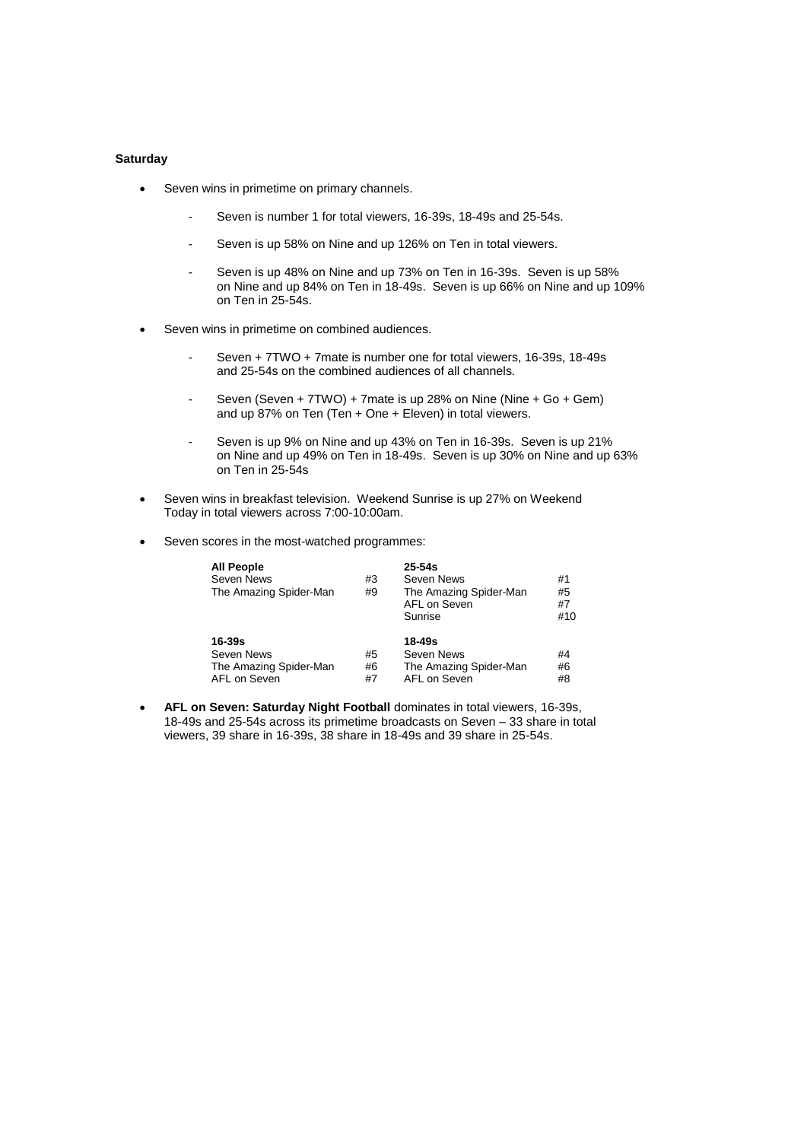# **Saturday**

- Seven wins in primetime on primary channels.
	- Seven is number 1 for total viewers, 16-39s, 18-49s and 25-54s.
	- Seven is up 58% on Nine and up 126% on Ten in total viewers.
	- Seven is up 48% on Nine and up 73% on Ten in 16-39s. Seven is up 58% on Nine and up 84% on Ten in 18-49s. Seven is up 66% on Nine and up 109% on Ten in 25-54s.
- Seven wins in primetime on combined audiences.
	- Seven + 7TWO + 7mate is number one for total viewers, 16-39s, 18-49s and 25-54s on the combined audiences of all channels.
	- Seven (Seven + 7TWO) + 7mate is up 28% on Nine (Nine + Go + Gem) and up 87% on Ten (Ten + One + Eleven) in total viewers.
	- Seven is up 9% on Nine and up 43% on Ten in 16-39s. Seven is up 21% on Nine and up 49% on Ten in 18-49s. Seven is up 30% on Nine and up 63% on Ten in 25-54s
- Seven wins in breakfast television. Weekend Sunrise is up 27% on Weekend Today in total viewers across 7:00-10:00am.
- Seven scores in the most-watched programmes:

| <b>All People</b><br><b>Seven News</b><br>The Amazing Spider-Man   | #3<br>#9       | $25 - 54s$<br>Seven News<br>The Amazing Spider-Man<br>AFL on Seven<br>Sunrise | #1<br>#5<br>#7<br>#10 |
|--------------------------------------------------------------------|----------------|-------------------------------------------------------------------------------|-----------------------|
| $16 - 39s$<br>Seven News<br>The Amazing Spider-Man<br>AFL on Seven | #5<br>#6<br>#7 | 18-49s<br>Seven News<br>The Amazing Spider-Man<br>AFL on Seven                | #4<br>#6<br>#8        |

 **AFL on Seven: Saturday Night Football** dominates in total viewers, 16-39s, 18-49s and 25-54s across its primetime broadcasts on Seven – 33 share in total viewers, 39 share in 16-39s, 38 share in 18-49s and 39 share in 25-54s.